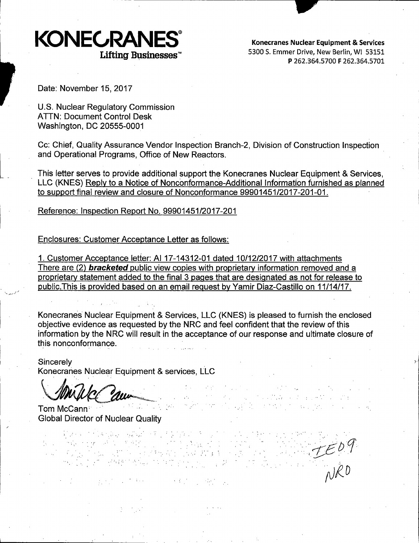

**Konecranes Nuclear Equipment** & **Services**  5300 S. Emmer Drive, New Berlin, WI 53151 **P** 262.364.5700 **F** 262.364.5701

Date: November 15, 2017

U.S. Nuclear Regulatory Commission ATIN: Document Control Desk Washington, DC 20555-0001

Cc: Chief, Quality Assurance Vendor Inspection Branch-2, Division of Construction Inspection and Operational Programs, Office of New Reactors.

This letter serves to provide additional support the Konecranes Nuclear Equipment & Services, LLC (KNES) Reply to a Notice of Nonconformance-Additional Information furnished as planned to support final review and closure of Nonconformance 99901451/2017-201-01.

Reference: Inspection Report No. 99901451/2017-201

Enclosures: Customer Acceptance Letter as follows:

1. Customer Acceptance letter: Al 17-14312-01 dated 10/12/2017 with attachments There are (2) **bracketed** public view copies with proprietary information removed and a proprietary statement added to the final 3 pages that are designated as not for release to public.This is provided based on an email request by Yamir Diaz-Castillo on 11/14/17.

Konecranes Nuclear Equipment & Services, LLC (KNES) is pleased to furnish the enclosed objective evidence as requested by the NRC and feel confident that the review of this information by the NRC will result in the acceptance of our response and ultimate closure of this nonconformance. mformation by the NRC will result in the amplitude this nonconformance.<br>
Sincerely<br>
Sincerely<br>
Concrances Nuclear Equipment & service<br>
Concrances Nuclear Equipment & service<br>
Concrances Nuclear Quality<br>
Slobal Director of

 $\mathcal{Q}^{\text{c}}(\mathcal{Q}^{\text{c}})$ 

Sincerely . Konecranes Nuclear Equipment & services, LLC

,·. *·:,* 

40. 人名利克 病

Tom McCann Global Director of Nuclear Quality

 $TE09$ rJtD

The Middle Property of The

the worldwide.

.<br>ا. د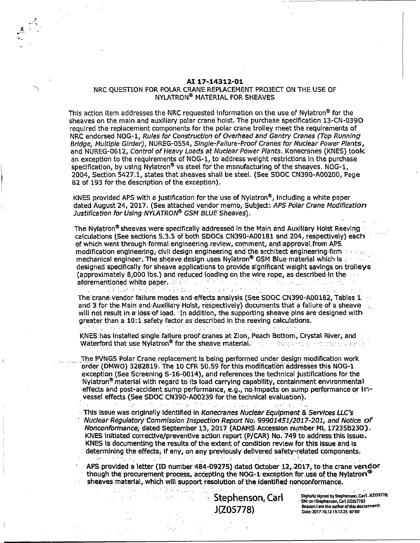### **AI 17-14312-01**

### NRC QUESTION FOR POLAR CRANE REPLACEMENT PROJECT ON THE USE OF NYLATRON® MATERIAL FOR SHEAVES

'./-,

This action Item addresses the NRC requested information on the use of Nylatron<sup>®</sup> for the sheaves on the main and auxlliary polar crane hoist. The purchase specification 13-CN-0390 required the replacement components for the polar crane trolley meet the requirements of NRC endorsed NOG-1, Rules for Construction of Overhead and Gantry Cranes (Top Running Bridge, Multiple Girder), NUREG-0554, Single-Failure-Proof Cranes for Nuclear Power Plants, and NUREG-0612, Control of Heavy Loads at Nuclear Power Plants. Konecranes (KNES) took an exception to the requirements of NOG-1, to address weight restrictions In the purchase specification, by using Nylatron<sup>®</sup> vs steel for the manufacturing of the sheaves. NOG-1, 2004, Section 5427.1, states that sheaves shall be steel. (See SDOC CN390-A00200, Page 82 of 193 for the description of the exception).

KNES provided APS with a justification for the use of Nylatron®, Including a white paper dated August 24, 2017. (See attached vendor memo, Subject: APS Polar Crane Modification Justification for Using NYLATRON® GSM BLUE Sheaves).

The Nylatron® sheaves were specifically addressed in the Main and Auxiliary Holst Reeving  $\cdot$ calculations (See sections 5.3.5 of both SDOCs CN390-A00181 and 204, respectively) each of which went through formal engineering-review, comment, and approval from APS modification.engineering, civil: design engineering and the architect engineering firm  $\sim$  , ... mechanical engineer. The sheave design uses Nylatron® GSM Blue material which is  $1.1$ designed specifically for sheave applications to provide significant weight savings on trolleys (approximately 8;000 lbs.) and ·reduced loading on the wire rope; as described In the ... • The problem of the company of the afdrementloried white paper • .:- .. · .. :·: *,:* ··, ~ ! • ~ •

The crane vendor failure modes and effects analysis (See SDOC CN390-A00182, Tables 1 and 3 for the Main and Auxiliary Holst, respectively) documents that a fallure of a sheave will not result in a loss of load. In addition, the supporting sheave pins are designed with greater than a 10:1 safety factor as described In the reeving calculations.

法有权 机分子工厂 阿马利 网络小麦利 电电子 医单角 网络小豆 化二乙酸二乙酸 计多位式 电电子 KNES:has installed single.failure proof: cranes at Zion, .Peach Bottom, Crystal River, and Waterford that use Nylatron® for the sheave material. We assume the state of the state of

The PVNGS Polar Crane replacement is being performed under design modification work order (DMWO) 3282819. The 10 CFR 50.59 for this modification addresses this NOG-1 exception (See Screening S-16-0014), and references the technical justifications for the Nylatron<sup>®</sup> material with regard to its load carrying capability, containment environmental effects and post-accident sump performance, e.g., no Impacts on sump performance or invessel effects (See SDOC CN390-A00239 for the technical evaluation).  $\alpha$  . The excited size of the problem  $\alpha$  , where  $\alpha$  is a set of the excited size of the excited size of the  $\alpha$ 

This issue was originally identified in Konecranes Nuclear Equipment & Services LLC's NudearRegulatoty:Comm1ssion Inspection Report No. *99901451/2017-201,* and Notice of Nonconformance; dated September 13, 2017 (ADAMS Accession number ML 17235B230). KNES Initiated corrective/preventive action report (P/CAR) No. 749 to address this Issue. KNES is documenting the results of the extent of condition review for this issue and is determining the effects; if any; on any previously delivered safety-related components.<br>Exercises the components of the components of the components of the components of the components of the components of the components o 医神经 医甲醛 计空间算法 不能  $\sim 15$  and  $\sim$ 

APS provided a letter (ID number 484-09275) dated October 12, 2017, to the crane vendor  $^{\circ}$  though the procurement process, accepting the NOG-1 exception for use of the Nylatron  $^{\circ}$ sheaves material, which will support resolution of the Identified nonconformance.<br>

*bis a stephenson, Carl* . J{Z05778)

Digitally signed by Stephenson, Carl J(ZOS778) bN: cn=Stephenson, Carl J1205778) **ReiSO!I;** I am the author afthls **c1acurnent** Date'2017.10.1215:12:2S .QTOO'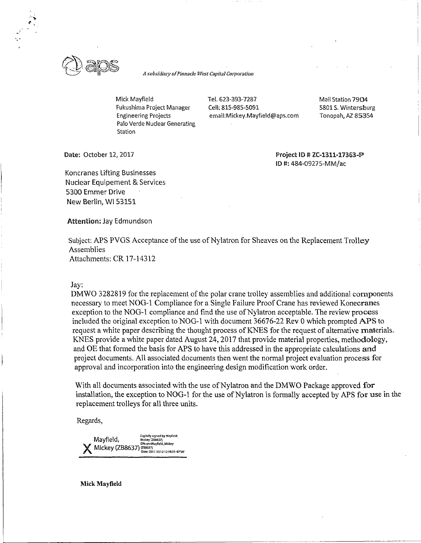

*A subsidiary of Pinnacle West Capital Corporation* 

Mick Mayfield Fukushima Project Manager Engineering Projects Palo Verde Nuclear Generating Station

Tel. 623-393-7287 Cell: 815-985-5091 email:Mickey.Mayfield@aps.com Mail Station **7904**  5801 S. Wintersburg Tonopah, **Al. 85354** 

**Date:** October 12, 2017

**Project** ID# **ZC-1311-17363-!P'**  ID#: 484-09275-MM/ac

Koncranes Lifting Businesses Nuclear Equipement & Services 5300 Emmer Drive New Berlin, WI 53151

**Attention:** Jay Edmundson

Subject: APS PVGS Acceptance of the use of Nylatron for Sheaves on the Replacement Trolley Assemblies Attachments: CR 17-14312

### Jay:

DMWO 3282819 for the replacement of the polar crane trolley assemblies and additional components necessary to meet NOG-1 Compliance for a Single Failure Proof Crane has reviewed Konecranes exception to the NOG-1 compliance and find the use of Nylatron acceptable. The review process included the original exception to NOG-1 with document 36676-22 Rev O which prompted APS to request a white paper describing the thought process of KNES for the request of alternative materials. KNES provide a white paper dated August 24, 2017 that provide material properties, methodology, and OE that formed the basis for APS to have this addressed in the appropriate calculations and project documents. All associated documents then went the normal project evaluation process for approval and incorporation into the engineering design modification work order.

With all documents associated with the use of Nylatron and the DMWO Package approved for installation, the exception to NOG-1 for the use of Nylatron is formally accepted by APS for use in the replacement trolleys for all three units.

Regards,

Digitally signed by Mayfield,<br>Mayfield, Mickey (268637)<br>DN: cn=Mayfield, Mickey **Mickey (288637)** <sup>DN: Ch=Mayfield, Mickey</sup> (288637) .<br>12 12:18:03 -07'00'

**Mick Mayfield**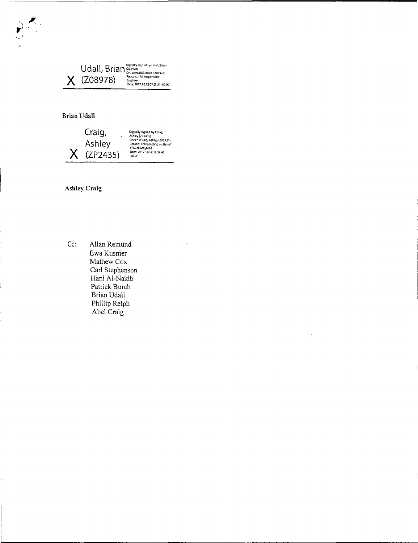U dall, Brian <sup>Digitalty signed by Udall, Brian **X**<br>
( **ZO8978**) <sup>Reseptive *Responsible Engineer*<br> *Date*:2017.00.12.07:23:31 -07'00'</sup></sup>

# **Brian Udall**



**Ashley Craig** 

Cc: Allan Remund Ewa Kusnier Mathew Cox Carl Stephenson Hani Al-Nakib Patrick Burch Brian Udall Phillip Relph Abel Craig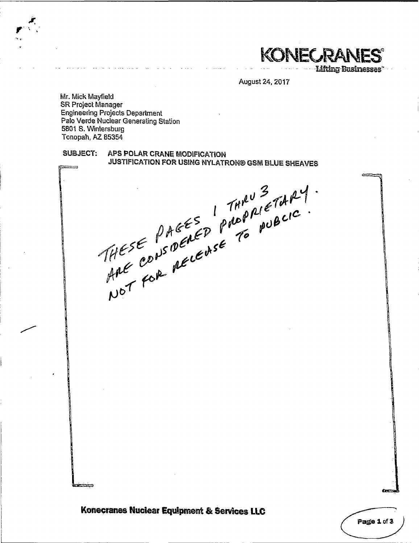KONECRAN

**Lifting-Businesses\*** 

يهيبع

Page 1 of 3

August 24, 2017

Mr. Mick Mayfield **SR Project Manager Engineering Projects Department** Palo Verde Nuclear Generating Station 5801 S. Wintersburg Tonopah, AZ 85354

# SUBJECT: APS POLAR CRANE MODIFICATION THESE PAGES I THAN 3 TARY. JUSTIFICATION FOR USING NYLATRON® GSM BLUE SHEAVES

Konecranes Nuclear Equipment & Services LLC

فتتحت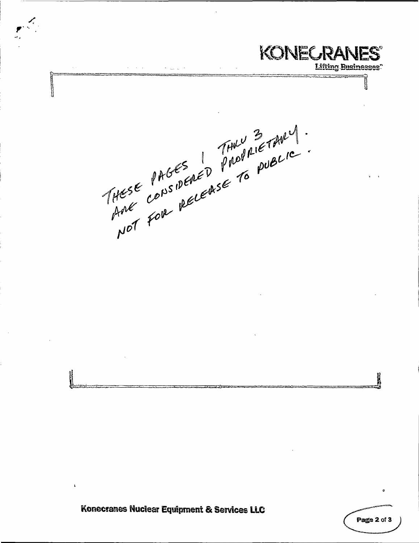**KONECRANES® Lifting Businesses."** THESE PAGES PROPRIETABLE K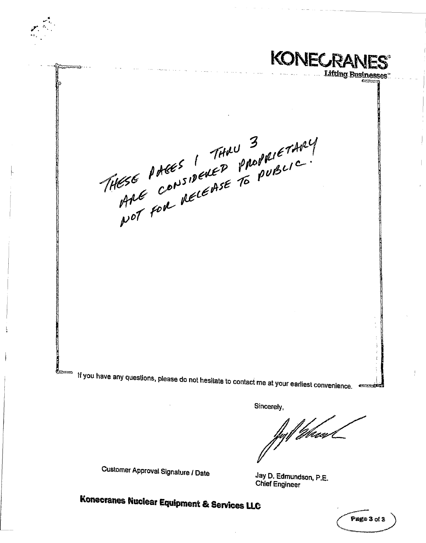**KONECRANES Lifting Business** THESE PARES ! THAU PROPRIETARY

If you have any questions, please do not hesitate to contact me at your earliest convenience.

Sincerely,

://*hum* 

Customer Approval Signature / Date

Jay D. Edmundson, P.E. **Chief Engineer**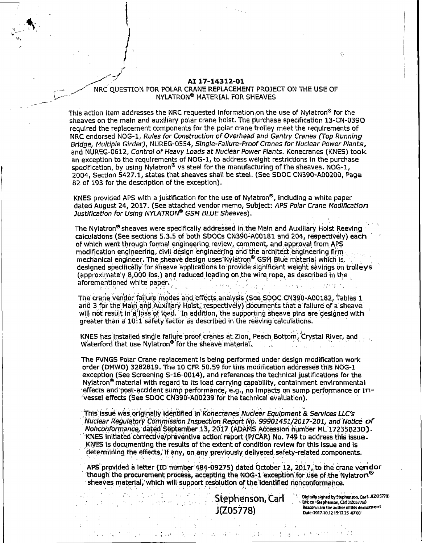### AI 17-14312-01

# NRC OUESTION FOR POLAR CRANE REPLACEMENT PROJECT ON THE USE OF NYLATRON® MATERIAL FOR SHEAVES

This action item addresses the NRC requested information on the use of Nylatron® for the  $\,$ sheaves on the main and auxiliary polar crane holst. The purchase specification 13-CN-0390 required the replacement components for the polar crane trolley meet the requirements of NRC endorsed NOG-1, Rules for Construction of Overhead and Gantry Cranes (Top Running Bridge, Multiple Girder), NUREG-0554, Single-Failure-Proof Cranes for Nuclear Power Plants, and NUREG-0612, Control of Heavy Loads at Nuclear Power Plants, Konecranes (KNES) took an exception to the requirements of NOG-1, to address weight restrictions in the purchase specification, by using Nylatron<sup>®</sup> vs steel for the manufacturing of the sheaves. NOG-1, 2004, Section 5427.1, states that sheaves shall be steel. (See SDOC CN390-A00200, Page 82 of 193 for the description of the exception).

KNES provided APS with a justification for the use of Nylatron®, including a white paper dated August 24, 2017. (See attached vendor memo, Subject: APS Polar Crane Modification Justification for Using NYLATRON® GSM BLUE Sheaves).

The Nylatron<sup>®</sup> sheaves were specifically addressed in the Main and Auxiliary Holst Reeying calculations (See sections 5.3.5 of both SDOCs CN390-A00181 and 204, respectively) each of which went through formal engineering review, comment, and approval from APS modification engineering, civil design engineering and the architect engineering firm mechanical engineer. The sheave design uses Nylatron<sup>®</sup> GSM Blue material which is. designed specifically for sheave applications to provide significant weight savings on trolleys (approximately 8,000 lbs.) and reduced loading on the wire rope, as described in the aforementioned white paper. in and an international and an<br>Second Contract of Contract Contract of Contract Contract Contract Contract Contract Contract Contract Contract a<br>Vite

The crane vendor failure modes and effects analysis (See SDOC CN390-A00182, Tables 1 and 3 for the Main and Auxiliary Holst, respectively) documents that a failure of a sheave will not result in a loss of load. In addition, the supporting sheave pins are designed with greater than a 10:1 safety factor as described in the reeving calculations.

KNES has installed single fallure proof cranes at Zion, Peach Bottom, Crystal River, and Waterford that use Nylatron<sup>®</sup> for the sheave material.

The PVNGS Polar Crane replacement is being performed under design modification work order (DMWO) 3282819. The 10 CFR 50.59 for this modification addresses this NOG-1 exception (See Screening S-16-0014), and references the technical justifications for the Nylatron<sup>®</sup> material with regard to its load carrying capability, containment environmental effects and post-accident sump performance, e.g., no impacts on sump performance or invessel effects (See SDOC CN390-A00239 for the technical evaluation).

This issue was originally identified in Konecranes Nuclear Equipment & Services LLC's Nuclear Requiatory Commission Inspection Report No. 99901451/2017-201, and Notice of Nonconformance, dated September 13, 2017 (ADAMS Accession number ML 17235B230). KNES initiated corrective/preventive action report (P/CAR) No. 749 to address this issue. KNES is documenting the results of the extent of condition review for this issue and is determining the effects, if any, on any previously delivered safety-related components.

APS provided a letter (ID number 484-09275) dated October 12, 2017, to the crane veridor 'though' the procurement process, accepting the NOG-1 exception for use of the Nylatro $\mathbf r^\otimes$ sheaves material, which will support resolution of the identified nonconformance.

> Stephenson, Carl  $J(Z05778)$

> > 第二月四 经工厂公积 人工生产银行工作人

Digitally signed by Stephenson, Carl J(ZOS778) Digitally signed by Stephenson, Carr →<br>DN: Cn=Stephenson, Carl J1205778) Reason; I am the author of this document Date: 2017.10.12 15:12:25 -07'00'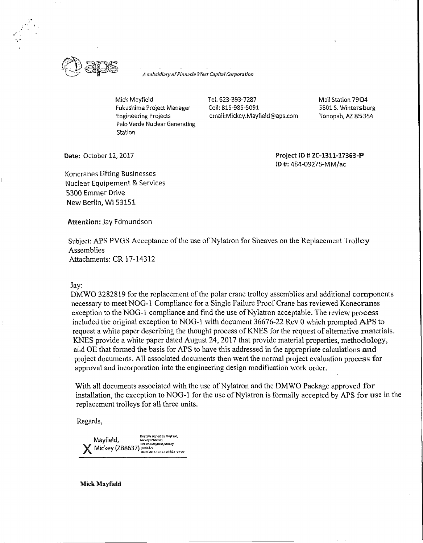

*A subsidiary of Pinnacle West Capital Corporation* 

Mick Mayfield Tel. 623-393-7287 Fukushima Project Manager Cell: 815-985-5091 Palo Verde Nuclear Generating **Station** 

Engineering Projects emai!:Mickey.Mayfield@aps.com

Mail Station 7904 5801 S. Wintersburg Tonopah, AZ 85354

**Date:** October 12, 2017

**Project** ID# **ZC-1311-17363-IP'**  ID#: 484-09275-MM/ac

Koncranes Lifting Businesses Nuclear Equipement & Services 5300 Emmer Drive New Berlin, WI 53151

**Attention:** Jay Edmundson

Subject: APS PVGS Acceptance of the use of Nylatron for Sheaves on the Replacement Trolley Assemblies Attachments: CR 17-14312

# Jay:

DMWO 3282819 for the replacement of the polar crane trolley assemblies and additional components necessary to meet NOG-1 Compliance for a Single Failure Proof Crane has reviewed Konecranes exception to the NOG-1 compliance and find the use of Nylatron acceptable. The review process included the original exception to NOG-1 with document 36676-22 Rev O which prompted APS to request a white paper describing the thought process of KNES for the request of alternative materials. KNES provide a white paper dated August 24, 2017 that provide material properties, methodology, ai,d OE that formed the basis for APS to have this addressed in the appropriate calculations and project documents. All associated documents then went the normal project evaluation process for approval and incorporation into the engineering design modification work order.

With all documents associated with the use of Nylatron and the DMWO Package approved for installation, the exception to NOG-1 for the use of Nylatron is formally accepted by APS for use in the replacement trolleys for all three units.

Regards,

Digitally signed by Mayfield,<br>Mayfield, Mickey (258657)<br>DN: cn=Mayfield, Mickey  $\ell$  Mickey (ZB8637) 7288637)<br>(ZB8637)<br>Date: 2017.10.12,12:18:03-07'60"

**Mick Mayfield**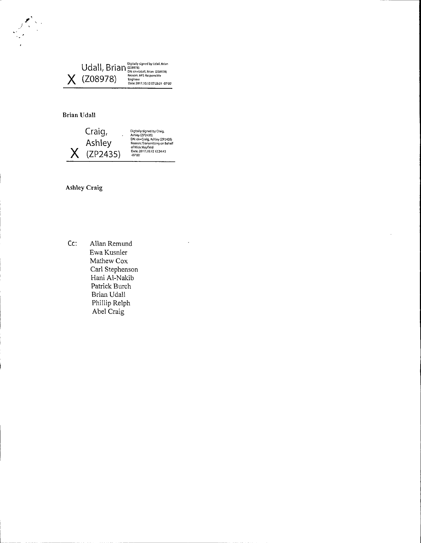Udall, Brian <sup>Digitally signed by Udall, Brian **206978)**<br>X (ZO8978) <sup>Reason APS Responsible **1910**<br>Date: 2017.10.12 07:23:31 -07:00</sup></sup>

# **Brian Udall**

 $\sum_{i=1}^{n}$ 

*)* 



**Ashley Craig** 

**Cc:** Allan Remund Ewa Kusnier Mathew Cox Carl Stephenson Hani Al-Nakib Patrick Burch Brian Udall Phillip Relph Abel Craig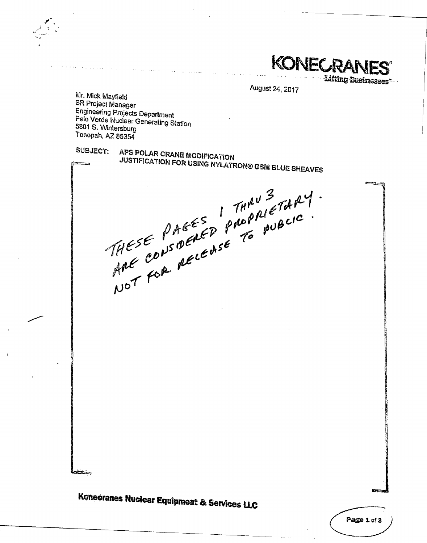KONECRAI **Lifting Businesses**\*

22.522-4

August 24, 2017

Mr. Mick Mayfield SR Project Manager **Engineering Projects Department** Palo Verde Nuclear Generating Station 5801 S. Wintersburg Tonopah, AZ 85354

# SUBJECT: APS POLAR CRANE MODIFICATION JUSTIFICATION FOR USING NYLATRON® GSM BLUE SHEAVES

THESE PAGES PROPPLETARY.<br>THESE PAGES PROPPLETARY.<br>ANC CONSPECTORSE TO PUBLIC.

متنفقه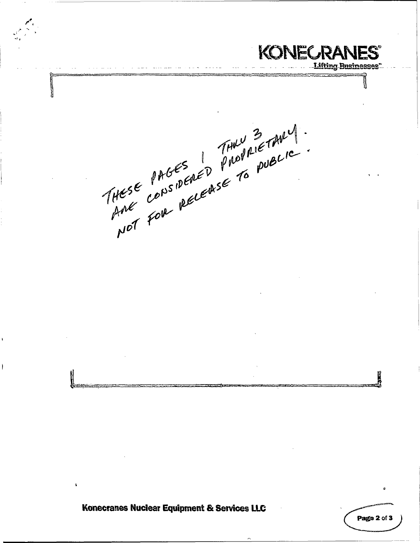**KONECRANES** <u>ifting Business</u> THESE PAGES PROPRIETABLE K